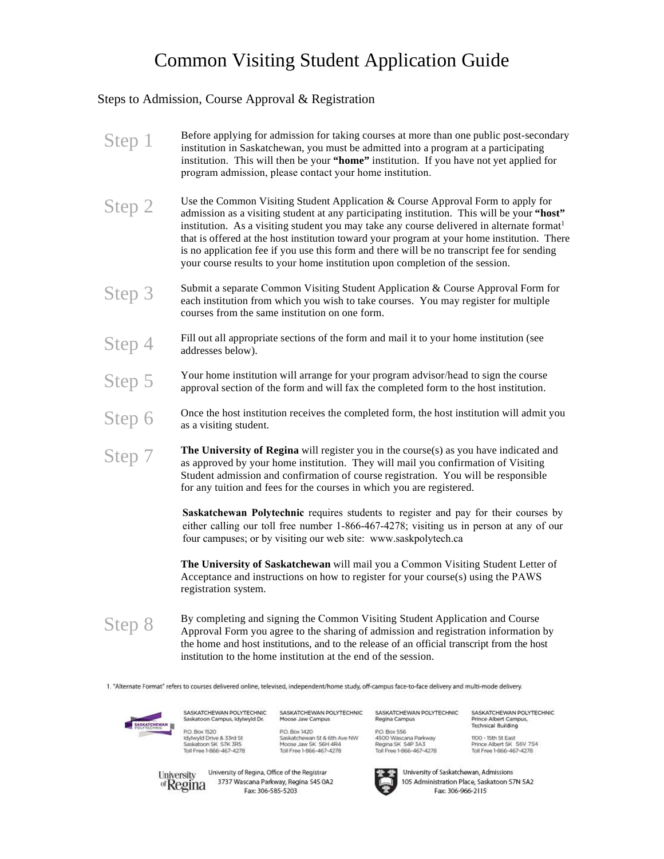## Common Visiting Student Application Guide

## Steps to Admission, Course Approval & Registration

| Step 1                               | Before applying for admission for taking courses at more than one public post-secondary<br>institution in Saskatchewan, you must be admitted into a program at a participating<br>institution. This will then be your "home" institution. If you have not yet applied for<br>program admission, please contact your home institution.                                                                                                                                                                                                                               |
|--------------------------------------|---------------------------------------------------------------------------------------------------------------------------------------------------------------------------------------------------------------------------------------------------------------------------------------------------------------------------------------------------------------------------------------------------------------------------------------------------------------------------------------------------------------------------------------------------------------------|
| Step 2                               | Use the Common Visiting Student Application & Course Approval Form to apply for<br>admission as a visiting student at any participating institution. This will be your "host"<br>institution. As a visiting student you may take any course delivered in alternate format <sup>1</sup><br>that is offered at the host institution toward your program at your home institution. There<br>is no application fee if you use this form and there will be no transcript fee for sending<br>your course results to your home institution upon completion of the session. |
| Step 3                               | Submit a separate Common Visiting Student Application & Course Approval Form for<br>each institution from which you wish to take courses. You may register for multiple<br>courses from the same institution on one form.                                                                                                                                                                                                                                                                                                                                           |
|                                      | Fill out all appropriate sections of the form and mail it to your home institution (see<br>addresses below).                                                                                                                                                                                                                                                                                                                                                                                                                                                        |
|                                      | Your home institution will arrange for your program advisor/head to sign the course<br>approval section of the form and will fax the completed form to the host institution.                                                                                                                                                                                                                                                                                                                                                                                        |
| Step 4<br>Step 5<br>Step 6<br>Step 7 | Once the host institution receives the completed form, the host institution will admit you<br>as a visiting student.                                                                                                                                                                                                                                                                                                                                                                                                                                                |
|                                      | The University of Regina will register you in the course(s) as you have indicated and<br>as approved by your home institution. They will mail you confirmation of Visiting<br>Student admission and confirmation of course registration. You will be responsible<br>for any tuition and fees for the courses in which you are registered.                                                                                                                                                                                                                           |
|                                      | Saskatchewan Polytechnic requires students to register and pay for their courses by<br>either calling our toll free number 1-866-467-4278; visiting us in person at any of our<br>four campuses; or by visiting our web site: www.saskpolytech.ca                                                                                                                                                                                                                                                                                                                   |
|                                      |                                                                                                                                                                                                                                                                                                                                                                                                                                                                                                                                                                     |

**The University of Saskatchewan** will mail you a Common Visiting Student Letter of Acceptance and instructions on how to register for your course(s) using the PAWS registration system.

Step 8 By completing and signing the Common Visiting Student Application and Course Approval Form you agree to the sharing of admission and registration information by the home and host institutions, and to the release of an official transcript from the host institution to the home institution at the end of the session.

1. "Alternate Format" refers to courses delivered online, televised, independent/home study, off-campus face-to-face delivery and multi-mode delivery.



SASKATCHEWAN POLYTECHNIC<br>Saskatoon Campus, idylwyld Dr. P.O. Box 1520 P.O. Box 1520<br>Idylwyld Drive & 33rd St<br>Saskatoon SK S7K 3R5<br>Toll Free 1-866-467-4278

P.O. Box 1420 F.C. Batchewan St & 6th Ave NW<br>Moose Jaw SK S6H 4R4<br>Toll Free 1-866-467-4278 P.O. Box 556 F.C.O. Wascana Parkway<br>Regina SK S4P 3A3<br>Toll Free 1-866-467-4278

SASKATCHEWAN POLYTECHNIC SASKATCHEWAN POLYTECHNIC SASKATCHEWAN POLYTECHNIC<br>Moose Jaw Campus Regina Campus Prince Albert Campus, **Technical Building** 

1100 - 15th St East<br>Prince Albert SK 56V 7S4<br>Toll Free 1-866-467-4278



University of Saskatchewan, Admissions 105 Administration Place, Saskatoon S7N 5A2 Fax: 306-966-2115

University<br>University<br>2727 Wassena Barbuay Begina 545 On 3737 Wascana Parkway, Regina S4S 0A2 of Regina Fax: 306-585-5203